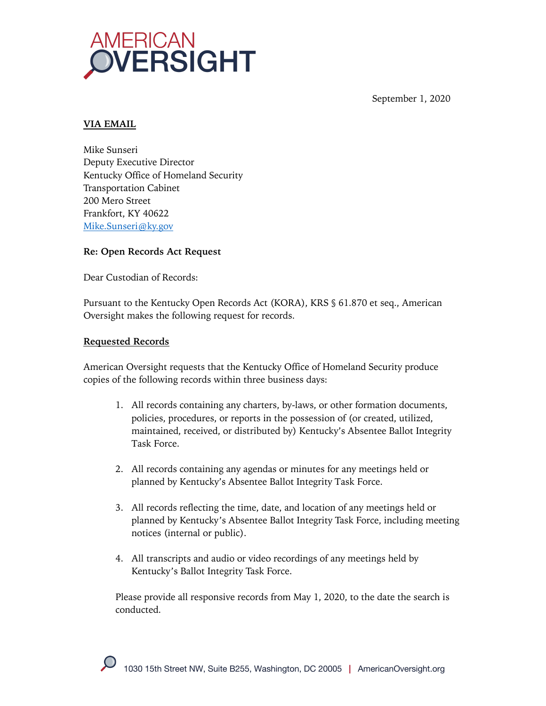

September 1, 2020

## **VIA EMAIL**

Mike Sunseri Deputy Executive Director Kentucky Office of Homeland Security Transportation Cabinet 200 Mero Street Frankfort, KY 40622 Mike.Sunseri@ky.gov

#### **Re: Open Records Act Request**

Dear Custodian of Records:

Pursuant to the Kentucky Open Records Act (KORA), KRS § 61.870 et seq., American Oversight makes the following request for records.

## **Requested Records**

American Oversight requests that the Kentucky Office of Homeland Security produce copies of the following records within three business days:

- 1. All records containing any charters, by-laws, or other formation documents, policies, procedures, or reports in the possession of (or created, utilized, maintained, received, or distributed by) Kentucky's Absentee Ballot Integrity Task Force.
- 2. All records containing any agendas or minutes for any meetings held or planned by Kentucky's Absentee Ballot Integrity Task Force.
- 3. All records reflecting the time, date, and location of any meetings held or planned by Kentucky's Absentee Ballot Integrity Task Force, including meeting notices (internal or public).
- 4. All transcripts and audio or video recordings of any meetings held by Kentucky's Ballot Integrity Task Force.

Please provide all responsive records from May 1, 2020, to the date the search is conducted.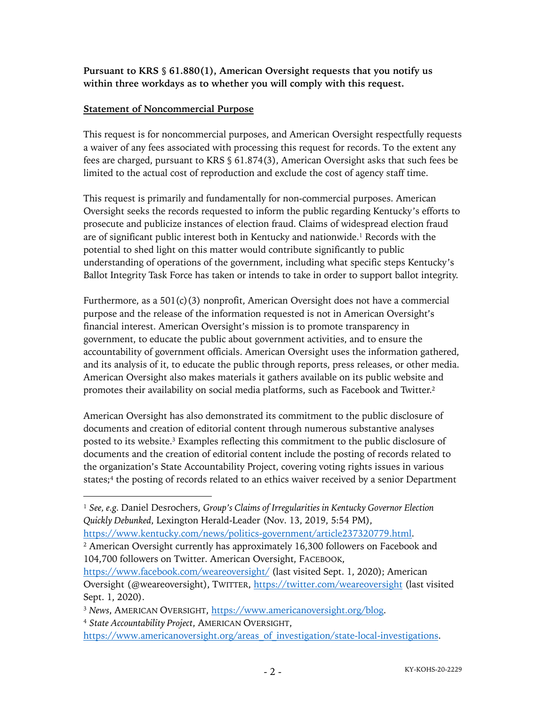**Pursuant to KRS § 61.880(1), American Oversight requests that you notify us within three workdays as to whether you will comply with this request.**

## **Statement of Noncommercial Purpose**

This request is for noncommercial purposes, and American Oversight respectfully requests a waiver of any fees associated with processing this request for records. To the extent any fees are charged, pursuant to KRS § 61.874(3), American Oversight asks that such fees be limited to the actual cost of reproduction and exclude the cost of agency staff time.

This request is primarily and fundamentally for non-commercial purposes. American Oversight seeks the records requested to inform the public regarding Kentucky's efforts to prosecute and publicize instances of election fraud. Claims of widespread election fraud are of significant public interest both in Kentucky and nationwide.1 Records with the potential to shed light on this matter would contribute significantly to public understanding of operations of the government, including what specific steps Kentucky's Ballot Integrity Task Force has taken or intends to take in order to support ballot integrity.

Furthermore, as a  $501(c)(3)$  nonprofit, American Oversight does not have a commercial purpose and the release of the information requested is not in American Oversight's financial interest. American Oversight's mission is to promote transparency in government, to educate the public about government activities, and to ensure the accountability of government officials. American Oversight uses the information gathered, and its analysis of it, to educate the public through reports, press releases, or other media. American Oversight also makes materials it gathers available on its public website and promotes their availability on social media platforms, such as Facebook and Twitter.2

American Oversight has also demonstrated its commitment to the public disclosure of documents and creation of editorial content through numerous substantive analyses posted to its website.3 Examples reflecting this commitment to the public disclosure of documents and the creation of editorial content include the posting of records related to the organization's State Accountability Project, covering voting rights issues in various states;<sup>4</sup> the posting of records related to an ethics waiver received by a senior Department

<sup>3</sup> *News*, AMERICAN OVERSIGHT, https://www.americanoversight.org/blog.

<sup>1</sup> *See, e.g.* Daniel Desrochers, *Group's Claims of Irregularities in Kentucky Governor Election Quickly Debunked*, Lexington Herald-Leader (Nov. 13, 2019, 5:54 PM),

https://www.kentucky.com/news/politics-government/article237320779.html.

<sup>&</sup>lt;sup>2</sup> American Oversight currently has approximately 16,300 followers on Facebook and 104,700 followers on Twitter. American Oversight, FACEBOOK,

https://www.facebook.com/weareoversight/ (last visited Sept. 1, 2020); American Oversight (@weareoversight), TWITTER, https://twitter.com/weareoversight (last visited Sept. 1, 2020).

<sup>4</sup> *State Accountability Project*, AMERICAN OVERSIGHT,

https://www.americanoversight.org/areas of investigation/state-local-investigations.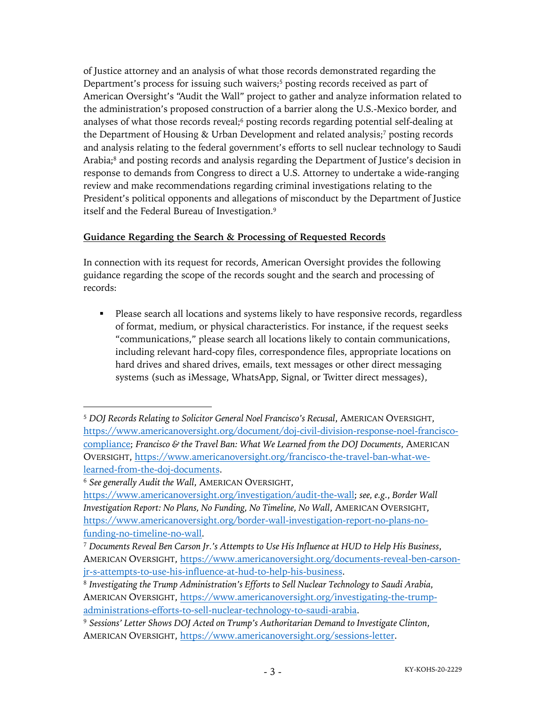of Justice attorney and an analysis of what those records demonstrated regarding the Department's process for issuing such waivers;<sup>5</sup> posting records received as part of American Oversight's "Audit the Wall" project to gather and analyze information related to the administration's proposed construction of a barrier along the U.S.-Mexico border, and analyses of what those records reveal;<sup>6</sup> posting records regarding potential self-dealing at the Department of Housing & Urban Development and related analysis;<sup>7</sup> posting records and analysis relating to the federal government's efforts to sell nuclear technology to Saudi Arabia;<sup>8</sup> and posting records and analysis regarding the Department of Justice's decision in response to demands from Congress to direct a U.S. Attorney to undertake a wide-ranging review and make recommendations regarding criminal investigations relating to the President's political opponents and allegations of misconduct by the Department of Justice itself and the Federal Bureau of Investigation.9

# **Guidance Regarding the Search & Processing of Requested Records**

In connection with its request for records, American Oversight provides the following guidance regarding the scope of the records sought and the search and processing of records:

• Please search all locations and systems likely to have responsive records, regardless of format, medium, or physical characteristics. For instance, if the request seeks "communications," please search all locations likely to contain communications, including relevant hard-copy files, correspondence files, appropriate locations on hard drives and shared drives, emails, text messages or other direct messaging systems (such as iMessage, WhatsApp, Signal, or Twitter direct messages),

<sup>5</sup> *DOJ Records Relating to Solicitor General Noel Francisco's Recusal*, AMERICAN OVERSIGHT, https://www.americanoversight.org/document/doj-civil-division-response-noel-franciscocompliance; *Francisco & the Travel Ban: What We Learned from the DOJ Documents*, AMERICAN OVERSIGHT, https://www.americanoversight.org/francisco-the-travel-ban-what-welearned-from-the-doj-documents.

<sup>6</sup> *See generally Audit the Wall*, AMERICAN OVERSIGHT,

https://www.americanoversight.org/investigation/audit-the-wall; *see, e.g.*, *Border Wall Investigation Report: No Plans, No Funding, No Timeline, No Wall*, AMERICAN OVERSIGHT, https://www.americanoversight.org/border-wall-investigation-report-no-plans-nofunding-no-timeline-no-wall.

<sup>7</sup> *Documents Reveal Ben Carson Jr.'s Attempts to Use His Influence at HUD to Help His Business*, AMERICAN OVERSIGHT, https://www.americanoversight.org/documents-reveal-ben-carsonjr-s-attempts-to-use-his-influence-at-hud-to-help-his-business.

<sup>8</sup> *Investigating the Trump Administration's Efforts to Sell Nuclear Technology to Saudi Arabia*, AMERICAN OVERSIGHT, https://www.americanoversight.org/investigating-the-trumpadministrations-efforts-to-sell-nuclear-technology-to-saudi-arabia.

<sup>9</sup> *Sessions' Letter Shows DOJ Acted on Trump's Authoritarian Demand to Investigate Clinton*, AMERICAN OVERSIGHT, https://www.americanoversight.org/sessions-letter.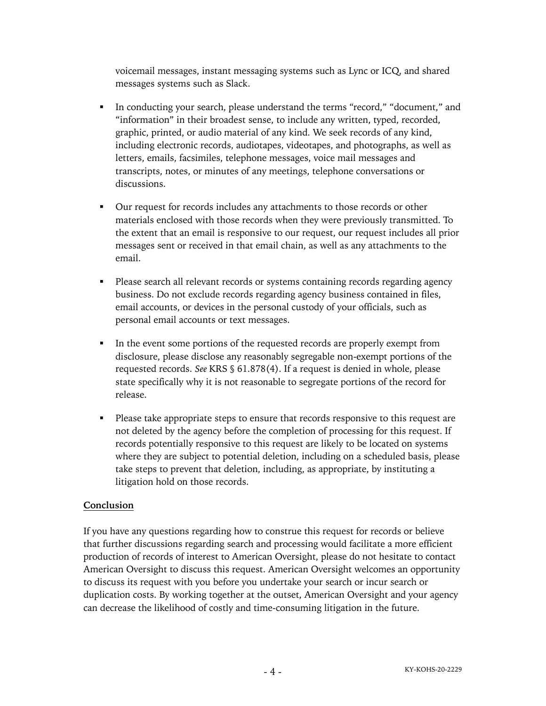voicemail messages, instant messaging systems such as Lync or ICQ, and shared messages systems such as Slack.

- In conducting your search, please understand the terms "record," "document," and "information" in their broadest sense, to include any written, typed, recorded, graphic, printed, or audio material of any kind. We seek records of any kind, including electronic records, audiotapes, videotapes, and photographs, as well as letters, emails, facsimiles, telephone messages, voice mail messages and transcripts, notes, or minutes of any meetings, telephone conversations or discussions.
- § Our request for records includes any attachments to those records or other materials enclosed with those records when they were previously transmitted. To the extent that an email is responsive to our request, our request includes all prior messages sent or received in that email chain, as well as any attachments to the email.
- Please search all relevant records or systems containing records regarding agency business. Do not exclude records regarding agency business contained in files, email accounts, or devices in the personal custody of your officials, such as personal email accounts or text messages.
- In the event some portions of the requested records are properly exempt from disclosure, please disclose any reasonably segregable non-exempt portions of the requested records. *See* KRS § 61.878(4). If a request is denied in whole, please state specifically why it is not reasonable to segregate portions of the record for release.
- Please take appropriate steps to ensure that records responsive to this request are not deleted by the agency before the completion of processing for this request. If records potentially responsive to this request are likely to be located on systems where they are subject to potential deletion, including on a scheduled basis, please take steps to prevent that deletion, including, as appropriate, by instituting a litigation hold on those records.

# **Conclusion**

If you have any questions regarding how to construe this request for records or believe that further discussions regarding search and processing would facilitate a more efficient production of records of interest to American Oversight, please do not hesitate to contact American Oversight to discuss this request. American Oversight welcomes an opportunity to discuss its request with you before you undertake your search or incur search or duplication costs. By working together at the outset, American Oversight and your agency can decrease the likelihood of costly and time-consuming litigation in the future.